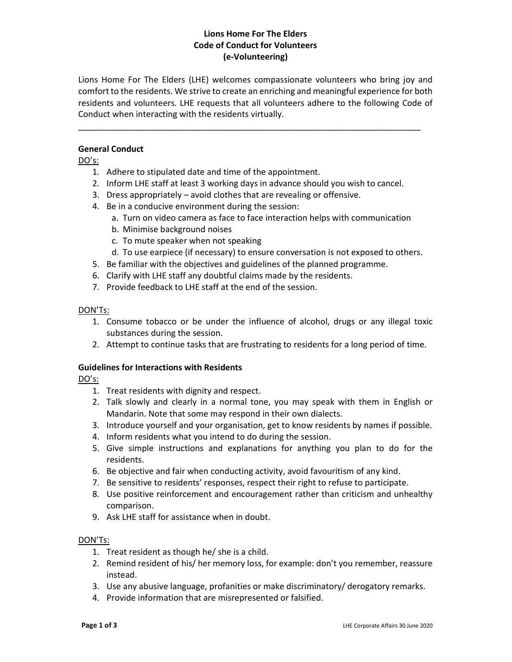# Lions Home For The Elders Code of Conduct for Volunteers (e-Volunteering)

Lions Home For The Elders (LHE) welcomes compassionate volunteers who bring joy and comfort to the residents. We strive to create an enriching and meaningful experience for both residents and volunteers. LHE requests that all volunteers adhere to the following Code of Conduct when interacting with the residents virtually.

\_\_\_\_\_\_\_\_\_\_\_\_\_\_\_\_\_\_\_\_\_\_\_\_\_\_\_\_\_\_\_\_\_\_\_\_\_\_\_\_\_\_\_\_\_\_\_\_\_\_\_\_\_\_\_\_\_\_\_\_\_\_\_\_\_\_\_\_\_\_\_\_\_

### General Conduct

DO's:

- 1. Adhere to stipulated date and time of the appointment.
- 2. Inform LHE staff at least 3 working days in advance should you wish to cancel.
- 3. Dress appropriately avoid clothes that are revealing or offensive.
- 4. Be in a conducive environment during the session:
	- a. Turn on video camera as face to face interaction helps with communication
	- b. Minimise background noises
	- c. To mute speaker when not speaking
	- d. To use earpiece (if necessary) to ensure conversation is not exposed to others.
- 5. Be familiar with the objectives and guidelines of the planned programme.
- 6. Clarify with LHE staff any doubtful claims made by the residents.
- 7. Provide feedback to LHE staff at the end of the session.

### DON'Ts:

- 1. Consume tobacco or be under the influence of alcohol, drugs or any illegal toxic substances during the session.
- 2. Attempt to continue tasks that are frustrating to residents for a long period of time.

### Guidelines for Interactions with Residents

DO's:

- 1. Treat residents with dignity and respect.
- 2. Talk slowly and clearly in a normal tone, you may speak with them in English or Mandarin. Note that some may respond in their own dialects.
- 3. Introduce yourself and your organisation, get to know residents by names if possible.
- 4. Inform residents what you intend to do during the session.
- 5. Give simple instructions and explanations for anything you plan to do for the residents.
- 6. Be objective and fair when conducting activity, avoid favouritism of any kind.
- 7. Be sensitive to residents' responses, respect their right to refuse to participate.
- 8. Use positive reinforcement and encouragement rather than criticism and unhealthy comparison.
- 9. Ask LHE staff for assistance when in doubt.

### DON'Ts:

- 1. Treat resident as though he/ she is a child.
- 2. Remind resident of his/ her memory loss, for example: don't you remember, reassure instead.
- 3. Use any abusive language, profanities or make discriminatory/ derogatory remarks.
- 4. Provide information that are misrepresented or falsified.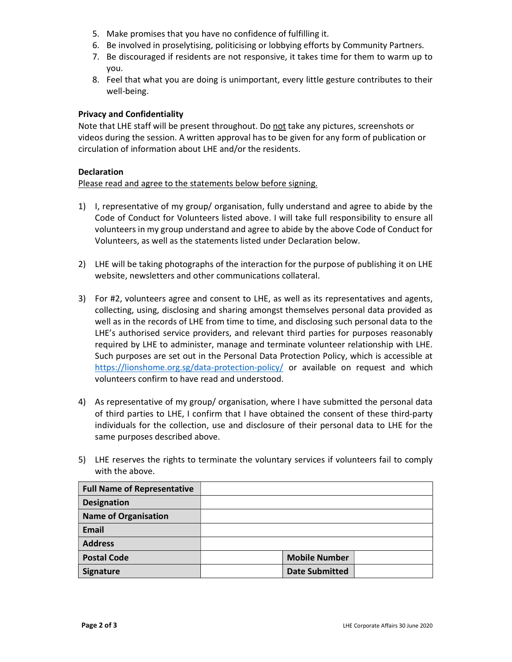- 5. Make promises that you have no confidence of fulfilling it.
- 6. Be involved in proselytising, politicising or lobbying efforts by Community Partners.
- 7. Be discouraged if residents are not responsive, it takes time for them to warm up to you.
- 8. Feel that what you are doing is unimportant, every little gesture contributes to their well-being.

## Privacy and Confidentiality

Note that LHE staff will be present throughout. Do not take any pictures, screenshots or videos during the session. A written approval has to be given for any form of publication or circulation of information about LHE and/or the residents.

### Declaration

### Please read and agree to the statements below before signing.

- 1) I, representative of my group/ organisation, fully understand and agree to abide by the Code of Conduct for Volunteers listed above. I will take full responsibility to ensure all volunteers in my group understand and agree to abide by the above Code of Conduct for Volunteers, as well as the statements listed under Declaration below.
- 2) LHE will be taking photographs of the interaction for the purpose of publishing it on LHE website, newsletters and other communications collateral.
- 3) For #2, volunteers agree and consent to LHE, as well as its representatives and agents, collecting, using, disclosing and sharing amongst themselves personal data provided as well as in the records of LHE from time to time, and disclosing such personal data to the LHE's authorised service providers, and relevant third parties for purposes reasonably required by LHE to administer, manage and terminate volunteer relationship with LHE. Such purposes are set out in the Personal Data Protection Policy, which is accessible at https://lionshome.org.sg/data-protection-policy/ or available on request and which volunteers confirm to have read and understood.
- 4) As representative of my group/ organisation, where I have submitted the personal data of third parties to LHE, I confirm that I have obtained the consent of these third-party individuals for the collection, use and disclosure of their personal data to LHE for the same purposes described above.
- 5) LHE reserves the rights to terminate the voluntary services if volunteers fail to comply with the above.

| <b>Full Name of Representative</b> |                       |  |
|------------------------------------|-----------------------|--|
| <b>Designation</b>                 |                       |  |
| <b>Name of Organisation</b>        |                       |  |
| <b>Email</b>                       |                       |  |
| <b>Address</b>                     |                       |  |
| <b>Postal Code</b>                 | <b>Mobile Number</b>  |  |
| Signature                          | <b>Date Submitted</b> |  |